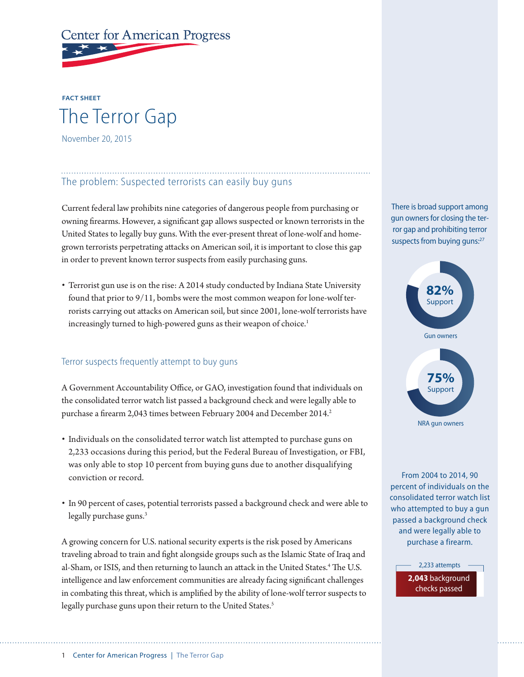# **Center for American Progress**

## **FACT SHEET** The Terror Gap November 20, 2015

#### The problem: Suspected terrorists can easily buy guns

Current federal law prohibits nine categories of dangerous people from purchasing or owning firearms. However, a significant gap allows suspected or known terrorists in the United States to legally buy guns. With the ever-present threat of lone-wolf and homegrown terrorists perpetrating attacks on American soil, it is important to close this gap in order to prevent known terror suspects from easily purchasing guns.

• Terrorist gun use is on the rise: A 2014 study conducted by Indiana State University found that prior to 9/11, bombs were the most common weapon for lone-wolf terrorists carrying out attacks on American soil, but since 2001, lone-wolf terrorists have increasingly turned to high-powered guns as their weapon of choice.<sup>1</sup>

#### Terror suspects frequently attempt to buy guns

A Government Accountability Office, or GAO, investigation found that individuals on the consolidated terror watch list passed a background check and were legally able to purchase a firearm 2,043 times between February 2004 and December 2014.<sup>2</sup>

- Individuals on the consolidated terror watch list attempted to purchase guns on 2,233 occasions during this period, but the Federal Bureau of Investigation, or FBI, was only able to stop 10 percent from buying guns due to another disqualifying conviction or record.
- In 90 percent of cases, potential terrorists passed a background check and were able to legally purchase guns.<sup>3</sup>

A growing concern for U.S. national security experts is the risk posed by Americans traveling abroad to train and fight alongside groups such as the Islamic State of Iraq and al-Sham, or ISIS, and then returning to launch an attack in the United States.<sup>4</sup> The U.S. intelligence and law enforcement communities are already facing significant challenges in combating this threat, which is amplified by the ability of lone-wolf terror suspects to legally purchase guns upon their return to the United States.<sup>5</sup>

There is broad support among gun owners for closing the terror gap and prohibiting terror suspects from buying guns:<sup>27</sup>



From 2004 to 2014, 90 percent of individuals on the consolidated terror watch list who attempted to buy a gun passed a background check and were legally able to purchase a firearm.

> 2,233 attempts **2,043** background checks passed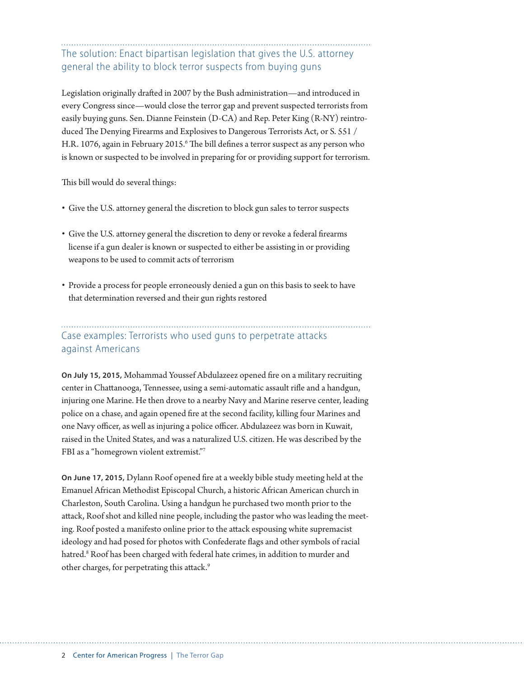### The solution: Enact bipartisan legislation that gives the U.S. attorney general the ability to block terror suspects from buying guns

Legislation originally drafted in 2007 by the Bush administration—and introduced in every Congress since—would close the terror gap and prevent suspected terrorists from easily buying guns. Sen. Dianne Feinstein (D-CA) and Rep. Peter King (R-NY) reintroduced The Denying Firearms and Explosives to Dangerous Terrorists Act, or S. 551 / H.R. 1076, again in February 2015.<sup>6</sup> The bill defines a terror suspect as any person who is known or suspected to be involved in preparing for or providing support for terrorism.

This bill would do several things:

- Give the U.S. attorney general the discretion to block gun sales to terror suspects
- Give the U.S. attorney general the discretion to deny or revoke a federal firearms license if a gun dealer is known or suspected to either be assisting in or providing weapons to be used to commit acts of terrorism
- Provide a process for people erroneously denied a gun on this basis to seek to have that determination reversed and their gun rights restored

### Case examples: Terrorists who used guns to perpetrate attacks against Americans

**On July 15, 2015,** Mohammad Youssef Abdulazeez opened fire on a military recruiting center in Chattanooga, Tennessee, using a semi-automatic assault rifle and a handgun, injuring one Marine. He then drove to a nearby Navy and Marine reserve center, leading police on a chase, and again opened fire at the second facility, killing four Marines and one Navy officer, as well as injuring a police officer. Abdulazeez was born in Kuwait, raised in the United States, and was a naturalized U.S. citizen. He was described by the FBI as a "homegrown violent extremist."7

**On June 17, 2015,** Dylann Roof opened fire at a weekly bible study meeting held at the Emanuel African Methodist Episcopal Church, a historic African American church in Charleston, South Carolina. Using a handgun he purchased two month prior to the attack, Roof shot and killed nine people, including the pastor who was leading the meeting. Roof posted a manifesto online prior to the attack espousing white supremacist ideology and had posed for photos with Confederate flags and other symbols of racial hatred.8 Roof has been charged with federal hate crimes, in addition to murder and other charges, for perpetrating this attack.9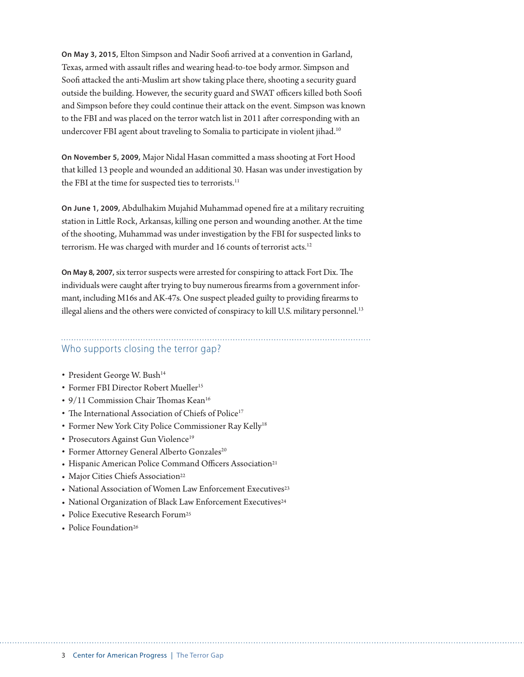**On May 3, 2015,** Elton Simpson and Nadir Soofi arrived at a convention in Garland, Texas, armed with assault rifles and wearing head-to-toe body armor. Simpson and Soofi attacked the anti-Muslim art show taking place there, shooting a security guard outside the building. However, the security guard and SWAT officers killed both Soofi and Simpson before they could continue their attack on the event. Simpson was known to the FBI and was placed on the terror watch list in 2011 after corresponding with an undercover FBI agent about traveling to Somalia to participate in violent jihad.<sup>10</sup>

**On November 5, 2009,** Major Nidal Hasan committed a mass shooting at Fort Hood that killed 13 people and wounded an additional 30. Hasan was under investigation by the FBI at the time for suspected ties to terrorists.<sup>11</sup>

**On June 1, 2009,** Abdulhakim Mujahid Muhammad opened fire at a military recruiting station in Little Rock, Arkansas, killing one person and wounding another. At the time of the shooting, Muhammad was under investigation by the FBI for suspected links to terrorism. He was charged with murder and 16 counts of terrorist acts.<sup>12</sup>

**On May 8, 2007,** six terror suspects were arrested for conspiring to attack Fort Dix. The individuals were caught after trying to buy numerous firearms from a government informant, including M16s and AK-47s. One suspect pleaded guilty to providing firearms to illegal aliens and the others were convicted of conspiracy to kill U.S. military personnel.<sup>13</sup>

## Who supports closing the terror gap?

- President George W. Bush<sup>14</sup>
- Former FBI Director Robert Mueller<sup>15</sup>
- 9/11 Commission Chair Thomas Kean<sup>16</sup>
- The International Association of Chiefs of Police<sup>17</sup>
- Former New York City Police Commissioner Ray Kelly<sup>18</sup>
- Prosecutors Against Gun Violence<sup>19</sup>
- Former Attorney General Alberto Gonzales<sup>20</sup>
- Hispanic American Police Command Officers Association21
- Major Cities Chiefs Association<sup>22</sup>
- National Association of Women Law Enforcement Executives<sup>23</sup>
- National Organization of Black Law Enforcement Executives<sup>24</sup>
- Police Executive Research Forum<sup>25</sup>
- Police Foundation<sup>26</sup>